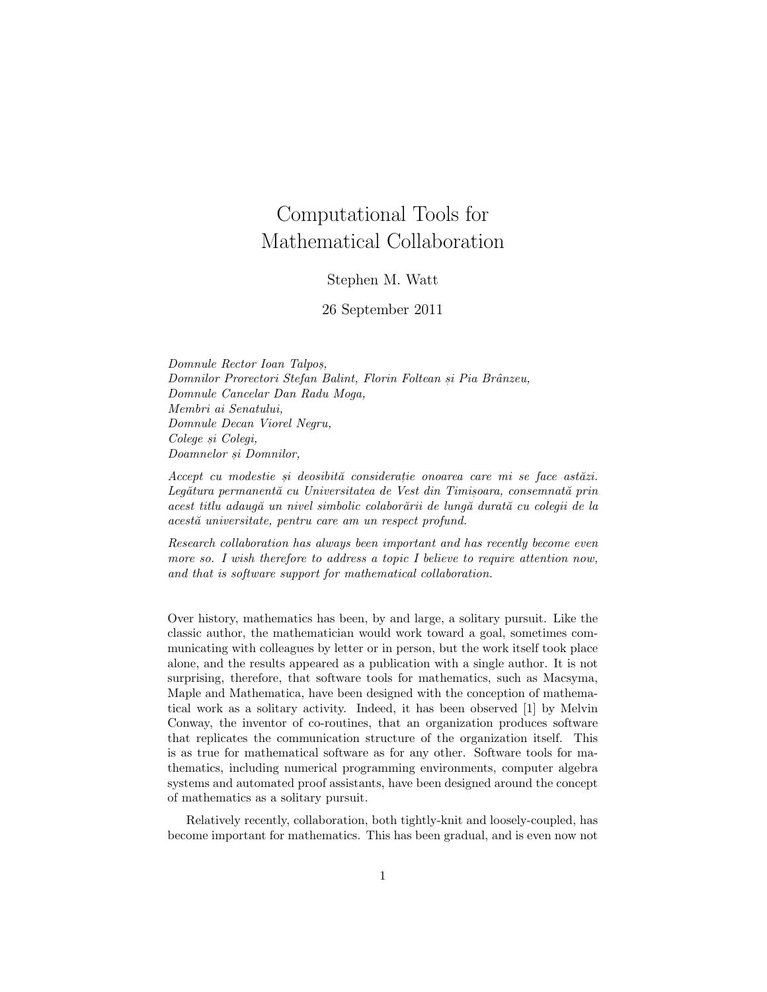## Computational Tools for Mathematical Collaboration

## Stephen M. Watt

26 September 2011

Domnule Rector Ioan Talpos, , Domnilor Prorectori Stefan Balint, Florin Foltean și Pia Brânzeu, Domnule Cancelar Dan Radu Moga, Membri ai Senatului, Domnule Decan Viorel Negru, Colege si Colegi, Doamnelor si Domnilor,

Accept cu modestie si deosibită consideratie onoarea care mi se face astăzi. Legătura permanentă cu Universitatea de Vest din Timisoara, consemnată prin acest titlu adaugă un nivel simbolic colaborării de lungă durată cu colegii de la acestă universitate, pentru care am un respect profund.

Research collaboration has always been important and has recently become even more so. I wish therefore to address a topic I believe to require attention now, and that is software support for mathematical collaboration.

Over history, mathematics has been, by and large, a solitary pursuit. Like the classic author, the mathematician would work toward a goal, sometimes communicating with colleagues by letter or in person, but the work itself took place alone, and the results appeared as a publication with a single author. It is not surprising, therefore, that software tools for mathematics, such as Macsyma, Maple and Mathematica, have been designed with the conception of mathematical work as a solitary activity. Indeed, it has been observed [1] by Melvin Conway, the inventor of co-routines, that an organization produces software that replicates the communication structure of the organization itself. This is as true for mathematical software as for any other. Software tools for mathematics, including numerical programming environments, computer algebra systems and automated proof assistants, have been designed around the concept of mathematics as a solitary pursuit.

Relatively recently, collaboration, both tightly-knit and loosely-coupled, has become important for mathematics. This has been gradual, and is even now not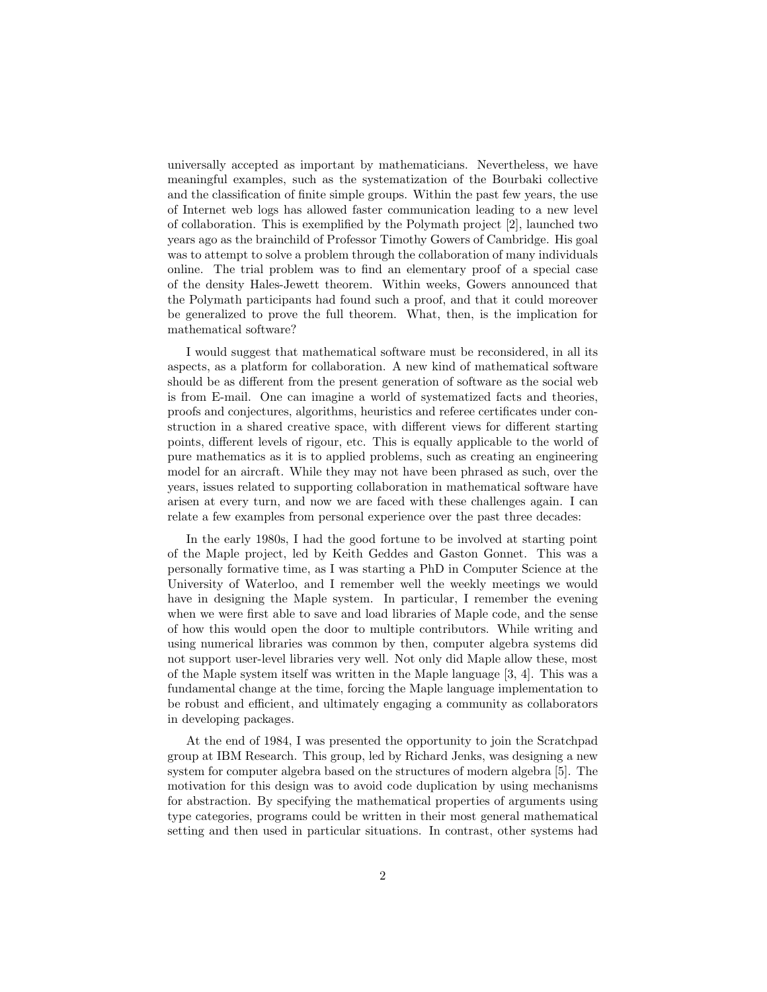universally accepted as important by mathematicians. Nevertheless, we have meaningful examples, such as the systematization of the Bourbaki collective and the classification of finite simple groups. Within the past few years, the use of Internet web logs has allowed faster communication leading to a new level of collaboration. This is exemplified by the Polymath project [2], launched two years ago as the brainchild of Professor Timothy Gowers of Cambridge. His goal was to attempt to solve a problem through the collaboration of many individuals online. The trial problem was to find an elementary proof of a special case of the density Hales-Jewett theorem. Within weeks, Gowers announced that the Polymath participants had found such a proof, and that it could moreover be generalized to prove the full theorem. What, then, is the implication for mathematical software?

I would suggest that mathematical software must be reconsidered, in all its aspects, as a platform for collaboration. A new kind of mathematical software should be as different from the present generation of software as the social web is from E-mail. One can imagine a world of systematized facts and theories, proofs and conjectures, algorithms, heuristics and referee certificates under construction in a shared creative space, with different views for different starting points, different levels of rigour, etc. This is equally applicable to the world of pure mathematics as it is to applied problems, such as creating an engineering model for an aircraft. While they may not have been phrased as such, over the years, issues related to supporting collaboration in mathematical software have arisen at every turn, and now we are faced with these challenges again. I can relate a few examples from personal experience over the past three decades:

In the early 1980s, I had the good fortune to be involved at starting point of the Maple project, led by Keith Geddes and Gaston Gonnet. This was a personally formative time, as I was starting a PhD in Computer Science at the University of Waterloo, and I remember well the weekly meetings we would have in designing the Maple system. In particular, I remember the evening when we were first able to save and load libraries of Maple code, and the sense of how this would open the door to multiple contributors. While writing and using numerical libraries was common by then, computer algebra systems did not support user-level libraries very well. Not only did Maple allow these, most of the Maple system itself was written in the Maple language [3, 4]. This was a fundamental change at the time, forcing the Maple language implementation to be robust and efficient, and ultimately engaging a community as collaborators in developing packages.

At the end of 1984, I was presented the opportunity to join the Scratchpad group at IBM Research. This group, led by Richard Jenks, was designing a new system for computer algebra based on the structures of modern algebra [5]. The motivation for this design was to avoid code duplication by using mechanisms for abstraction. By specifying the mathematical properties of arguments using type categories, programs could be written in their most general mathematical setting and then used in particular situations. In contrast, other systems had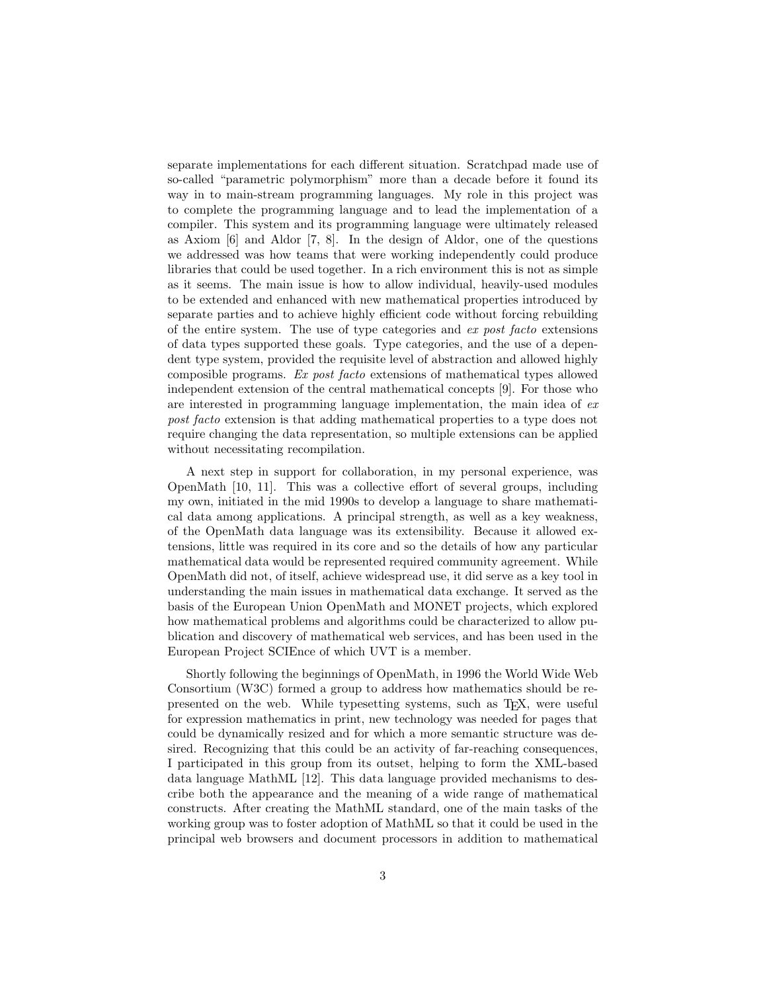separate implementations for each different situation. Scratchpad made use of so-called "parametric polymorphism" more than a decade before it found its way in to main-stream programming languages. My role in this project was to complete the programming language and to lead the implementation of a compiler. This system and its programming language were ultimately released as Axiom [6] and Aldor [7, 8]. In the design of Aldor, one of the questions we addressed was how teams that were working independently could produce libraries that could be used together. In a rich environment this is not as simple as it seems. The main issue is how to allow individual, heavily-used modules to be extended and enhanced with new mathematical properties introduced by separate parties and to achieve highly efficient code without forcing rebuilding of the entire system. The use of type categories and ex post facto extensions of data types supported these goals. Type categories, and the use of a dependent type system, provided the requisite level of abstraction and allowed highly composible programs. Ex post facto extensions of mathematical types allowed independent extension of the central mathematical concepts [9]. For those who are interested in programming language implementation, the main idea of ex post facto extension is that adding mathematical properties to a type does not require changing the data representation, so multiple extensions can be applied without necessitating recompilation.

A next step in support for collaboration, in my personal experience, was OpenMath [10, 11]. This was a collective effort of several groups, including my own, initiated in the mid 1990s to develop a language to share mathematical data among applications. A principal strength, as well as a key weakness, of the OpenMath data language was its extensibility. Because it allowed extensions, little was required in its core and so the details of how any particular mathematical data would be represented required community agreement. While OpenMath did not, of itself, achieve widespread use, it did serve as a key tool in understanding the main issues in mathematical data exchange. It served as the basis of the European Union OpenMath and MONET projects, which explored how mathematical problems and algorithms could be characterized to allow publication and discovery of mathematical web services, and has been used in the European Project SCIEnce of which UVT is a member.

Shortly following the beginnings of OpenMath, in 1996 the World Wide Web Consortium (W3C) formed a group to address how mathematics should be represented on the web. While typesetting systems, such as TEX, were useful for expression mathematics in print, new technology was needed for pages that could be dynamically resized and for which a more semantic structure was desired. Recognizing that this could be an activity of far-reaching consequences, I participated in this group from its outset, helping to form the XML-based data language MathML [12]. This data language provided mechanisms to describe both the appearance and the meaning of a wide range of mathematical constructs. After creating the MathML standard, one of the main tasks of the working group was to foster adoption of MathML so that it could be used in the principal web browsers and document processors in addition to mathematical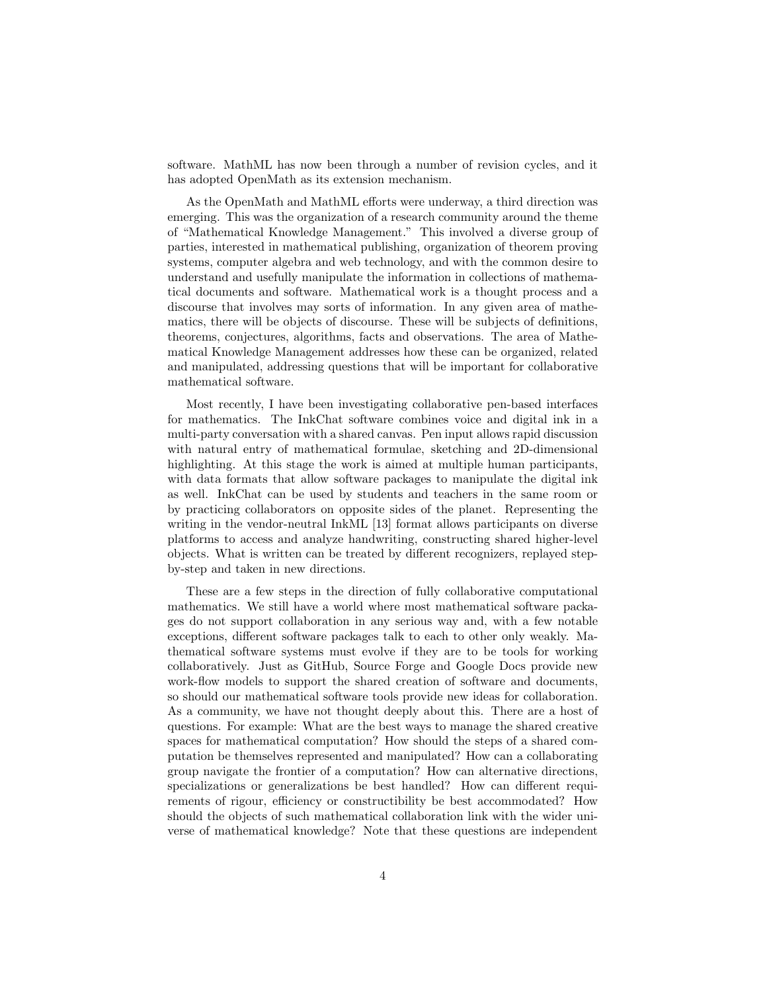software. MathML has now been through a number of revision cycles, and it has adopted OpenMath as its extension mechanism.

As the OpenMath and MathML efforts were underway, a third direction was emerging. This was the organization of a research community around the theme of "Mathematical Knowledge Management." This involved a diverse group of parties, interested in mathematical publishing, organization of theorem proving systems, computer algebra and web technology, and with the common desire to understand and usefully manipulate the information in collections of mathematical documents and software. Mathematical work is a thought process and a discourse that involves may sorts of information. In any given area of mathematics, there will be objects of discourse. These will be subjects of definitions, theorems, conjectures, algorithms, facts and observations. The area of Mathematical Knowledge Management addresses how these can be organized, related and manipulated, addressing questions that will be important for collaborative mathematical software.

Most recently, I have been investigating collaborative pen-based interfaces for mathematics. The InkChat software combines voice and digital ink in a multi-party conversation with a shared canvas. Pen input allows rapid discussion with natural entry of mathematical formulae, sketching and 2D-dimensional highlighting. At this stage the work is aimed at multiple human participants, with data formats that allow software packages to manipulate the digital ink as well. InkChat can be used by students and teachers in the same room or by practicing collaborators on opposite sides of the planet. Representing the writing in the vendor-neutral InkML [13] format allows participants on diverse platforms to access and analyze handwriting, constructing shared higher-level objects. What is written can be treated by different recognizers, replayed stepby-step and taken in new directions.

These are a few steps in the direction of fully collaborative computational mathematics. We still have a world where most mathematical software packages do not support collaboration in any serious way and, with a few notable exceptions, different software packages talk to each to other only weakly. Mathematical software systems must evolve if they are to be tools for working collaboratively. Just as GitHub, Source Forge and Google Docs provide new work-flow models to support the shared creation of software and documents, so should our mathematical software tools provide new ideas for collaboration. As a community, we have not thought deeply about this. There are a host of questions. For example: What are the best ways to manage the shared creative spaces for mathematical computation? How should the steps of a shared computation be themselves represented and manipulated? How can a collaborating group navigate the frontier of a computation? How can alternative directions, specializations or generalizations be best handled? How can different requirements of rigour, efficiency or constructibility be best accommodated? How should the objects of such mathematical collaboration link with the wider universe of mathematical knowledge? Note that these questions are independent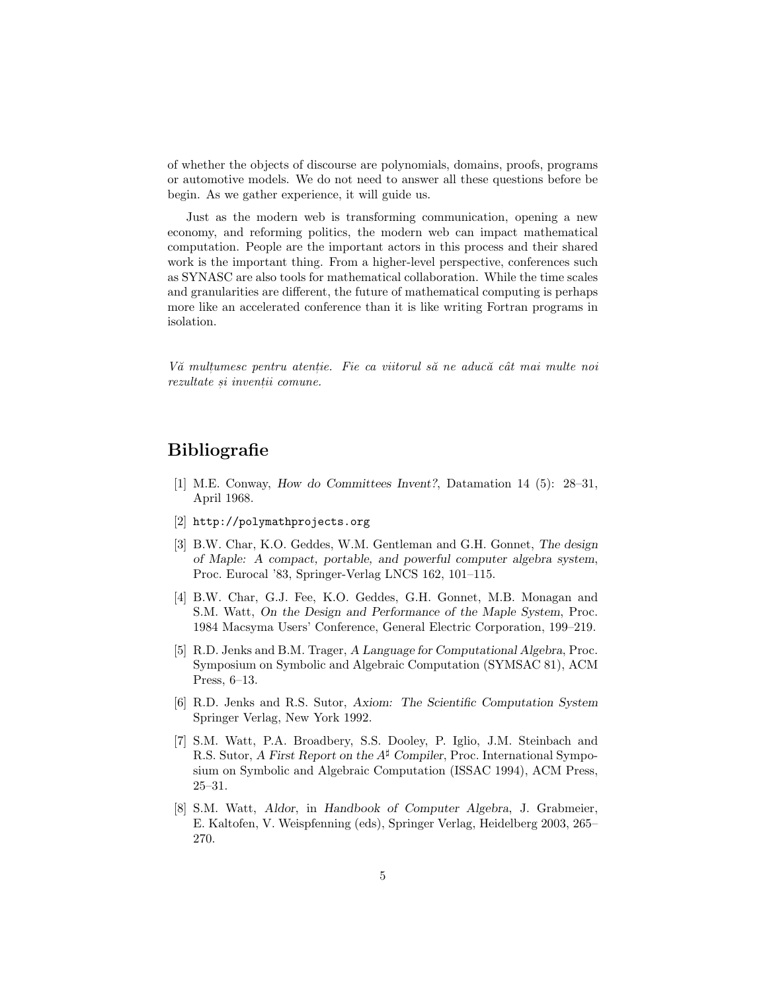of whether the objects of discourse are polynomials, domains, proofs, programs or automotive models. We do not need to answer all these questions before be begin. As we gather experience, it will guide us.

Just as the modern web is transforming communication, opening a new economy, and reforming politics, the modern web can impact mathematical computation. People are the important actors in this process and their shared work is the important thing. From a higher-level perspective, conferences such as SYNASC are also tools for mathematical collaboration. While the time scales and granularities are different, the future of mathematical computing is perhaps more like an accelerated conference than it is like writing Fortran programs in isolation.

Vă multumesc pentru atentie. Fie ca viitorul să ne aducă cât mai multe noi rezultate și invenții comune.

## **Bibliografie**

- [1] M.E. Conway, How do Committees Invent?, Datamation 14 (5): 28–31, April 1968.
- [2] http://polymathprojects.org
- [3] B.W. Char, K.O. Geddes, W.M. Gentleman and G.H. Gonnet, The design of Maple: A compact, portable, and powerful computer algebra system, Proc. Eurocal '83, Springer-Verlag LNCS 162, 101–115.
- [4] B.W. Char, G.J. Fee, K.O. Geddes, G.H. Gonnet, M.B. Monagan and S.M. Watt, On the Design and Performance of the Maple System, Proc. 1984 Macsyma Users' Conference, General Electric Corporation, 199–219.
- [5] R.D. Jenks and B.M. Trager, A Language for Computational Algebra, Proc. Symposium on Symbolic and Algebraic Computation (SYMSAC 81), ACM Press, 6–13.
- [6] R.D. Jenks and R.S. Sutor, Axiom: The Scientific Computation System Springer Verlag, New York 1992.
- [7] S.M. Watt, P.A. Broadbery, S.S. Dooley, P. Iglio, J.M. Steinbach and R.S. Sutor, A First Report on the  $A^{\sharp}$  Compiler, Proc. International Symposium on Symbolic and Algebraic Computation (ISSAC 1994), ACM Press, 25–31.
- [8] S.M. Watt, Aldor, in Handbook of Computer Algebra, J. Grabmeier, E. Kaltofen, V. Weispfenning (eds), Springer Verlag, Heidelberg 2003, 265– 270.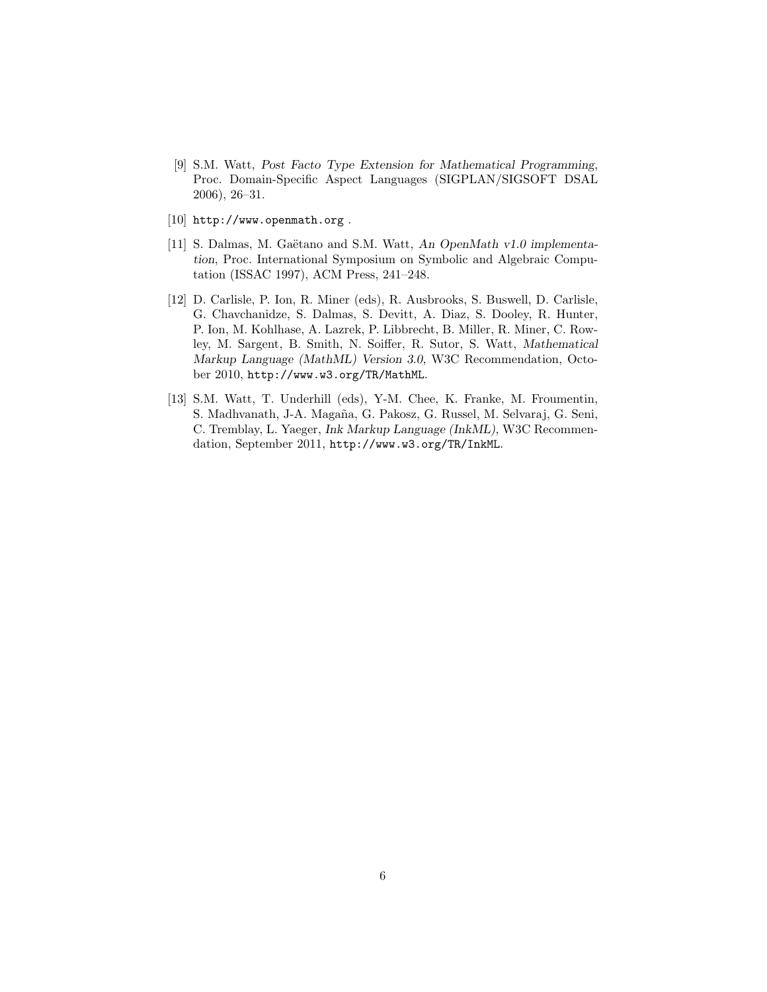- [9] S.M. Watt, Post Facto Type Extension for Mathematical Programming, Proc. Domain-Specific Aspect Languages (SIGPLAN/SIGSOFT DSAL 2006), 26–31.
- [10] http://www.openmath.org .
- [11] S. Dalmas, M. Gaëtano and S.M. Watt, An OpenMath v1.0 implementation, Proc. International Symposium on Symbolic and Algebraic Computation (ISSAC 1997), ACM Press, 241–248.
- [12] D. Carlisle, P. Ion, R. Miner (eds), R. Ausbrooks, S. Buswell, D. Carlisle, G. Chavchanidze, S. Dalmas, S. Devitt, A. Diaz, S. Dooley, R. Hunter, P. Ion, M. Kohlhase, A. Lazrek, P. Libbrecht, B. Miller, R. Miner, C. Rowley, M. Sargent, B. Smith, N. Soiffer, R. Sutor, S. Watt, Mathematical Markup Language (MathML) Version 3.0, W3C Recommendation, October 2010, http://www.w3.org/TR/MathML.
- [13] S.M. Watt, T. Underhill (eds), Y-M. Chee, K. Franke, M. Froumentin, S. Madhvanath, J-A. Magaña, G. Pakosz, G. Russel, M. Selvaraj, G. Seni, C. Tremblay, L. Yaeger, Ink Markup Language (InkML), W3C Recommendation, September 2011, http://www.w3.org/TR/InkML.